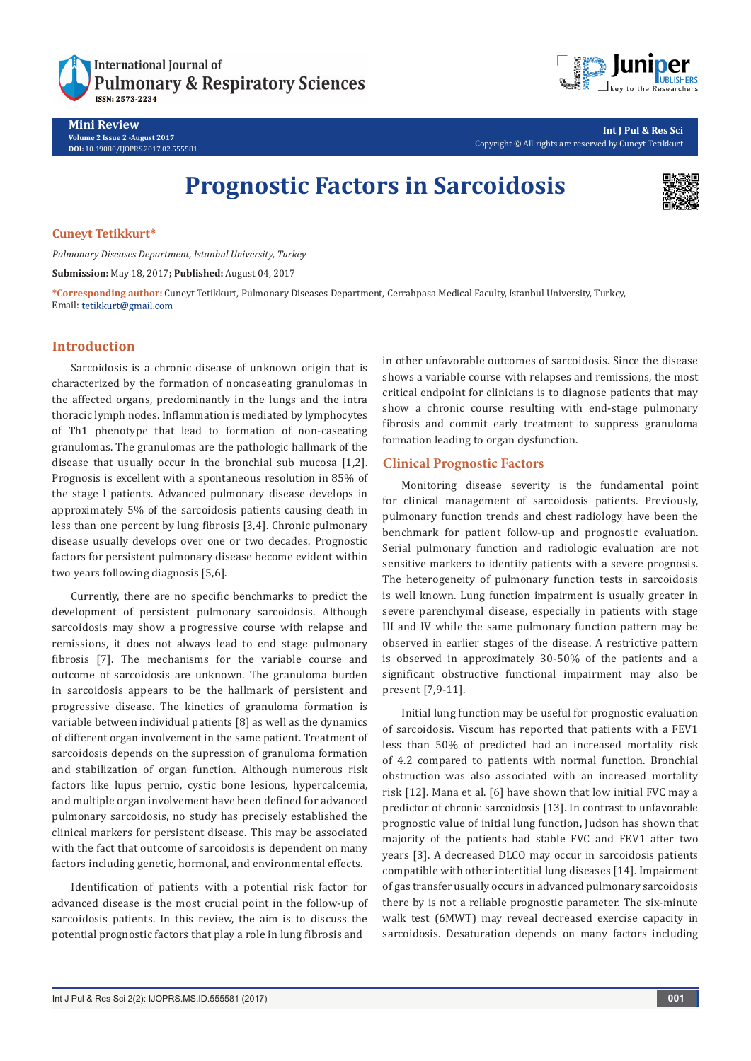

**Mini Review Volume 2 Issue 2 -August 2017 DOI:** [10.19080/IJOPRS.2017.02.555581](http://dx.doi.org/10.19080/IJOPRS.2017.02.555581
)



**Int J Pul & Res Sci** Copyright © All rights are reserved by Cuneyt Tetikkurt

# **Prognostic Factors in Sarcoidosis**



## **Cuneyt Tetikkurt\***

*Pulmonary Diseases Department, Istanbul University, Turkey*

**Submission:** May 18, 2017**; Published:** August 04, 2017

**\*Corresponding author:** Cuneyt Tetikkurt, Pulmonary Diseases Department, Cerrahpasa Medical Faculty, Istanbul University, Turkey, Email: tetikkurt@gmail.com

# **Introduction**

Sarcoidosis is a chronic disease of unknown origin that is characterized by the formation of noncaseating granulomas in the affected organs, predominantly in the lungs and the intra thoracic lymph nodes. Inflammation is mediated by lymphocytes of Th1 phenotype that lead to formation of non-caseating granulomas. The granulomas are the pathologic hallmark of the disease that usually occur in the bronchial sub mucosa [1,2]. Prognosis is excellent with a spontaneous resolution in 85% of the stage I patients. Advanced pulmonary disease develops in approximately 5% of the sarcoidosis patients causing death in less than one percent by lung fibrosis [3,4]. Chronic pulmonary disease usually develops over one or two decades. Prognostic factors for persistent pulmonary disease become evident within two years following diagnosis [5,6].

Currently, there are no specific benchmarks to predict the development of persistent pulmonary sarcoidosis. Although sarcoidosis may show a progressive course with relapse and remissions, it does not always lead to end stage pulmonary fibrosis [7]. The mechanisms for the variable course and outcome of sarcoidosis are unknown. The granuloma burden in sarcoidosis appears to be the hallmark of persistent and progressive disease. The kinetics of granuloma formation is variable between individual patients [8] as well as the dynamics of different organ involvement in the same patient. Treatment of sarcoidosis depends on the supression of granuloma formation and stabilization of organ function. Although numerous risk factors like lupus pernio, cystic bone lesions, hypercalcemia, and multiple organ involvement have been defined for advanced pulmonary sarcoidosis, no study has precisely established the clinical markers for persistent disease. This may be associated with the fact that outcome of sarcoidosis is dependent on many factors including genetic, hormonal, and environmental effects.

Identification of patients with a potential risk factor for advanced disease is the most crucial point in the follow-up of sarcoidosis patients. In this review, the aim is to discuss the potential prognostic factors that play a role in lung fibrosis and

in other unfavorable outcomes of sarcoidosis. Since the disease shows a variable course with relapses and remissions, the most critical endpoint for clinicians is to diagnose patients that may show a chronic course resulting with end-stage pulmonary fibrosis and commit early treatment to suppress granuloma formation leading to organ dysfunction.

## **Clinical Prognostic Factors**

Monitoring disease severity is the fundamental point for clinical management of sarcoidosis patients. Previously, pulmonary function trends and chest radiology have been the benchmark for patient follow-up and prognostic evaluation. Serial pulmonary function and radiologic evaluation are not sensitive markers to identify patients with a severe prognosis. The heterogeneity of pulmonary function tests in sarcoidosis is well known. Lung function impairment is usually greater in severe parenchymal disease, especially in patients with stage III and IV while the same pulmonary function pattern may be observed in earlier stages of the disease. A restrictive pattern is observed in approximately 30-50% of the patients and a significant obstructive functional impairment may also be present [7,9-11].

Initial lung function may be useful for prognostic evaluation of sarcoidosis. Viscum has reported that patients with a FEV1 less than 50% of predicted had an increased mortality risk of 4.2 compared to patients with normal function. Bronchial obstruction was also associated with an increased mortality risk [12]. Mana et al. [6] have shown that low initial FVC may a predictor of chronic sarcoidosis [13]. In contrast to unfavorable prognostic value of initial lung function, Judson has shown that majority of the patients had stable FVC and FEV1 after two years [3]. A decreased DLCO may occur in sarcoidosis patients compatible with other intertitial lung diseases [14]. Impairment of gas transfer usually occurs in advanced pulmonary sarcoidosis there by is not a reliable prognostic parameter. The six-minute walk test (6MWT) may reveal decreased exercise capacity in sarcoidosis. Desaturation depends on many factors including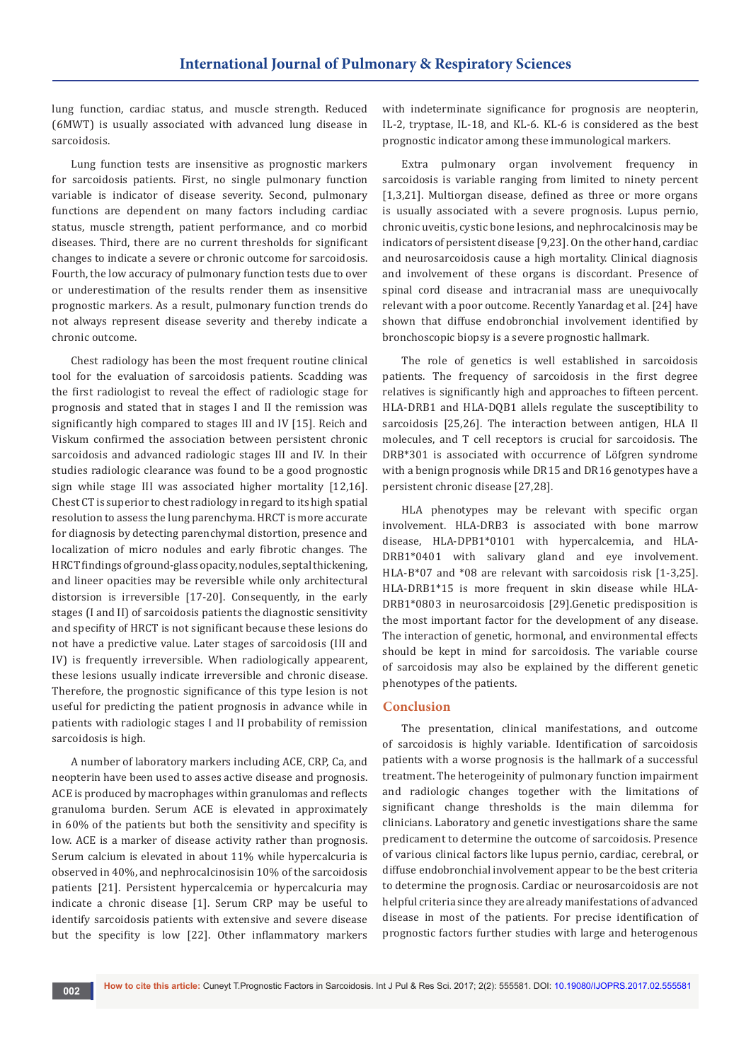lung function, cardiac status, and muscle strength. Reduced (6MWT) is usually associated with advanced lung disease in sarcoidosis.

Lung function tests are insensitive as prognostic markers for sarcoidosis patients. First, no single pulmonary function variable is indicator of disease severity. Second, pulmonary functions are dependent on many factors including cardiac status, muscle strength, patient performance, and co morbid diseases. Third, there are no current thresholds for significant changes to indicate a severe or chronic outcome for sarcoidosis. Fourth, the low accuracy of pulmonary function tests due to over or underestimation of the results render them as insensitive prognostic markers. As a result, pulmonary function trends do not always represent disease severity and thereby indicate a chronic outcome.

Chest radiology has been the most frequent routine clinical tool for the evaluation of sarcoidosis patients. Scadding was the first radiologist to reveal the effect of radiologic stage for prognosis and stated that in stages I and II the remission was significantly high compared to stages III and IV [15]. Reich and Viskum confirmed the association between persistent chronic sarcoidosis and advanced radiologic stages III and IV. In their studies radiologic clearance was found to be a good prognostic sign while stage III was associated higher mortality [12,16]. Chest CT is superior to chest radiology in regard to its high spatial resolution to assess the lung parenchyma. HRCT is more accurate for diagnosis by detecting parenchymal distortion, presence and localization of micro nodules and early fibrotic changes. The HRCT findings of ground-glass opacity, nodules, septal thickening, and lineer opacities may be reversible while only architectural distorsion is irreversible [17-20]. Consequently, in the early stages (I and II) of sarcoidosis patients the diagnostic sensitivity and specifity of HRCT is not significant because these lesions do not have a predictive value. Later stages of sarcoidosis (III and IV) is frequently irreversible. When radiologically appearent, these lesions usually indicate irreversible and chronic disease. Therefore, the prognostic significance of this type lesion is not useful for predicting the patient prognosis in advance while in patients with radiologic stages I and II probability of remission sarcoidosis is high.

A number of laboratory markers including ACE, CRP, Ca, and neopterin have been used to asses active disease and prognosis. ACE is produced by macrophages within granulomas and reflects granuloma burden. Serum ACE is elevated in approximately in 60% of the patients but both the sensitivity and specifity is low. ACE is a marker of disease activity rather than prognosis. Serum calcium is elevated in about 11% while hypercalcuria is observed in 40%, and nephrocalcinosisin 10% of the sarcoidosis patients [21]. Persistent hypercalcemia or hypercalcuria may indicate a chronic disease [1]. Serum CRP may be useful to identify sarcoidosis patients with extensive and severe disease but the specifity is low [22]. Other inflammatory markers

with indeterminate significance for prognosis are neopterin, IL-2, tryptase, IL-18, and KL-6. KL-6 is considered as the best prognostic indicator among these immunological markers.

Extra pulmonary organ involvement frequency in sarcoidosis is variable ranging from limited to ninety percent [1,3,21]. Multiorgan disease, defined as three or more organs is usually associated with a severe prognosis. Lupus pernio, chronic uveitis, cystic bone lesions, and nephrocalcinosis may be indicators of persistent disease [9,23]. On the other hand, cardiac and neurosarcoidosis cause a high mortality. Clinical diagnosis and involvement of these organs is discordant. Presence of spinal cord disease and intracranial mass are unequivocally relevant with a poor outcome. Recently Yanardag et al. [24] have shown that diffuse endobronchial involvement identified by bronchoscopic biopsy is a severe prognostic hallmark.

The role of genetics is well established in sarcoidosis patients. The frequency of sarcoidosis in the first degree relatives is significantly high and approaches to fifteen percent. HLA-DRB1 and HLA-DQB1 allels regulate the susceptibility to sarcoidosis [25,26]. The interaction between antigen, HLA II molecules, and T cell receptors is crucial for sarcoidosis. The DRB\*301 is associated with occurrence of Löfgren syndrome with a benign prognosis while DR15 and DR16 genotypes have a persistent chronic disease [27,28].

HLA phenotypes may be relevant with specific organ involvement. HLA-DRB3 is associated with bone marrow disease, HLA-DPB1\*0101 with hypercalcemia, and HLA-DRB1\*0401 with salivary gland and eye involvement. HLA-B\*07 and \*08 are relevant with sarcoidosis risk [1-3,25]. HLA-DRB1\*15 is more frequent in skin disease while HLA-DRB1\*0803 in neurosarcoidosis [29].Genetic predisposition is the most important factor for the development of any disease. The interaction of genetic, hormonal, and environmental effects should be kept in mind for sarcoidosis. The variable course of sarcoidosis may also be explained by the different genetic phenotypes of the patients.

#### **Conclusion**

The presentation, clinical manifestations, and outcome of sarcoidosis is highly variable. Identification of sarcoidosis patients with a worse prognosis is the hallmark of a successful treatment. The heterogeinity of pulmonary function impairment and radiologic changes together with the limitations of significant change thresholds is the main dilemma for clinicians. Laboratory and genetic investigations share the same predicament to determine the outcome of sarcoidosis. Presence of various clinical factors like lupus pernio, cardiac, cerebral, or diffuse endobronchial involvement appear to be the best criteria to determine the prognosis. Cardiac or neurosarcoidosis are not helpful criteria since they are already manifestations of advanced disease in most of the patients. For precise identification of prognostic factors further studies with large and heterogenous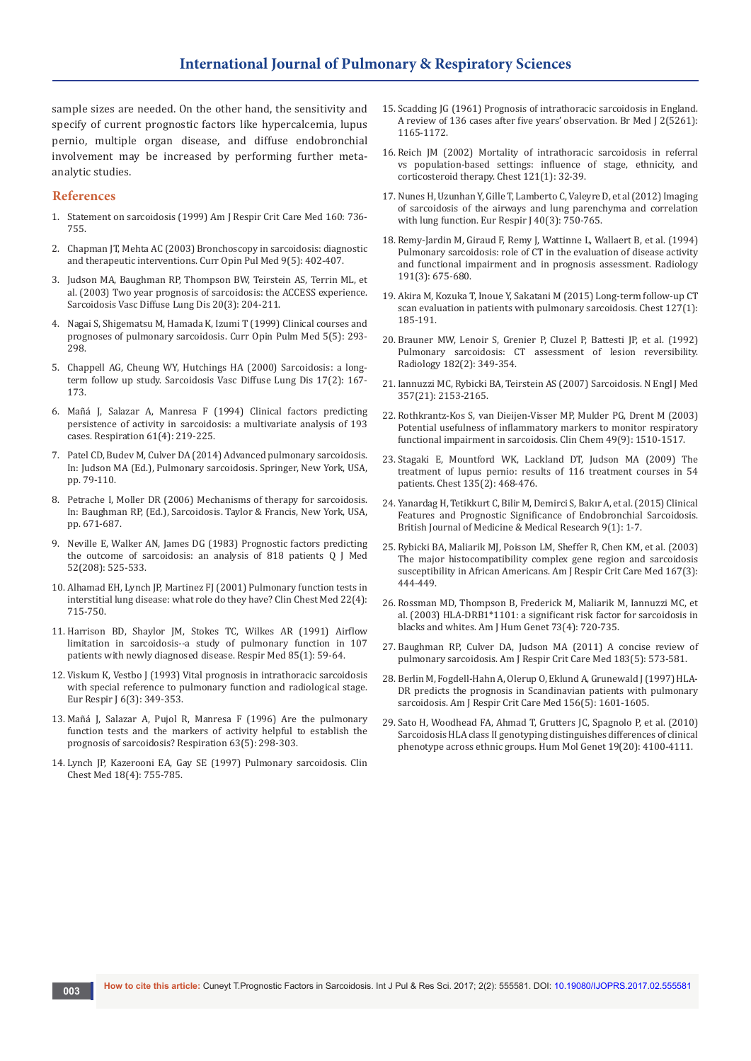sample sizes are needed. On the other hand, the sensitivity and specify of current prognostic factors like hypercalcemia, lupus pernio, multiple organ disease, and diffuse endobronchial involvement may be increased by performing further metaanalytic studies.

#### **References**

- 1. Statement on sarcoidosis (1999) Am J Respir Crit Care Med 160: 736- 755.
- 2. [Chapman JT, Mehta AC \(2003\) Bronchoscopy in sarcoidosis: diagnostic](https://www.ncbi.nlm.nih.gov/pubmed/12904711)  [and therapeutic interventions. Curr Opin Pul Med 9\(5\): 402-407.](https://www.ncbi.nlm.nih.gov/pubmed/12904711)
- 3. [Judson MA, Baughman RP, Thompson BW, Teirstein AS, Terrin ML, et](https://www.ncbi.nlm.nih.gov/pubmed/14620163)  [al. \(2003\) Two year prognosis of sarcoidosis: the ACCESS experience.](https://www.ncbi.nlm.nih.gov/pubmed/14620163)  [Sarcoidosis Vasc Diffuse Lung Dis 20\(3\): 204-211.](https://www.ncbi.nlm.nih.gov/pubmed/14620163)
- 4. [Nagai S, Shigematsu M, Hamada K, Izumi T \(1999\) Clinical courses and](https://www.ncbi.nlm.nih.gov/pubmed/10461533)  [prognoses of pulmonary sarcoidosis. Curr Opin Pulm Med 5\(5\): 293-](https://www.ncbi.nlm.nih.gov/pubmed/10461533) [298.](https://www.ncbi.nlm.nih.gov/pubmed/10461533)
- 5. [Chappell AG, Cheung WY, Hutchings HA \(2000\) Sarcoidosis: a long](https://www.ncbi.nlm.nih.gov/pubmed/10957765)[term follow up study. Sarcoidosis Vasc Diffuse Lung Dis 17\(2\): 167-](https://www.ncbi.nlm.nih.gov/pubmed/10957765) [173.](https://www.ncbi.nlm.nih.gov/pubmed/10957765)
- 6. [Mañá J, Salazar A, Manresa F \(1994\) Clinical factors predicting](https://www.ncbi.nlm.nih.gov/pubmed/7973108)  [persistence of activity in sarcoidosis: a multivariate analysis of 193](https://www.ncbi.nlm.nih.gov/pubmed/7973108)  [cases. Respiration 61\(4\): 219-225.](https://www.ncbi.nlm.nih.gov/pubmed/7973108)
- 7. Patel CD, Budev M, Culver DA (2014) Advanced pulmonary sarcoidosis. In: Judson MA (Ed.), Pulmonary sarcoidosis. Springer, New York, USA, pp. 79-110.
- 8. Petrache I, Moller DR (2006) Mechanisms of therapy for sarcoidosis. In: Baughman RP, (Ed.), Sarcoidosis. Taylor & Francis, New York, USA, pp. 671-687.
- 9. [Neville E, Walker AN, James DG \(1983\) Prognostic factors predicting](https://www.ncbi.nlm.nih.gov/pubmed/6657915)  [the outcome of sarcoidosis: an analysis of 818 patients Q J Med](https://www.ncbi.nlm.nih.gov/pubmed/6657915)  [52\(208\): 525-533.](https://www.ncbi.nlm.nih.gov/pubmed/6657915)
- 10. [Alhamad EH, Lynch JP, Martinez FJ \(2001\) Pulmonary function tests in](https://www.ncbi.nlm.nih.gov/pubmed/11787661)  [interstitial lung disease: what role do they have? Clin Chest Med 22\(4\):](https://www.ncbi.nlm.nih.gov/pubmed/11787661)  [715-750.](https://www.ncbi.nlm.nih.gov/pubmed/11787661)
- 11. [Harrison BD, Shaylor JM, Stokes TC, Wilkes AR \(1991\) Airflow](https://www.ncbi.nlm.nih.gov/pubmed/2014359)  [limitation in sarcoidosis--a study of pulmonary function in 107](https://www.ncbi.nlm.nih.gov/pubmed/2014359)  [patients with newly diagnosed disease. Respir Med 85\(1\): 59-64.](https://www.ncbi.nlm.nih.gov/pubmed/2014359)
- 12. [Viskum K, Vestbo J \(1993\) Vital prognosis in intrathoracic sarcoidosis](https://www.ncbi.nlm.nih.gov/pubmed/8472824)  [with special reference to pulmonary function and radiological stage.](https://www.ncbi.nlm.nih.gov/pubmed/8472824)  [Eur Respir J 6\(3\): 349-353.](https://www.ncbi.nlm.nih.gov/pubmed/8472824)
- 13. [Mañá J, Salazar A, Pujol R, Manresa F \(1996\) Are the pulmonary](https://www.karger.com/Article/Pdf/196564)  [function tests and the markers of activity helpful to establish the](https://www.karger.com/Article/Pdf/196564)  [prognosis of sarcoidosis? Respiration 63\(5\): 298-303.](https://www.karger.com/Article/Pdf/196564)
- 14. Lynch JP, Kazerooni EA, Gay SE (1997) Pulmonary sarcoidosis. Clin Chest Med 18(4): 755-785.
- 15. [Scadding JG \(1961\) Prognosis of intrathoracic sarcoidosis in England.](https://www.ncbi.nlm.nih.gov/pubmed/14497750)  [A review of 136 cases after five years' observation. Br Med J 2\(5261\):](https://www.ncbi.nlm.nih.gov/pubmed/14497750)  [1165-1172.](https://www.ncbi.nlm.nih.gov/pubmed/14497750)
- 16. [Reich JM \(2002\) Mortality of intrathoracic sarcoidosis in referral](https://www.ncbi.nlm.nih.gov/pubmed/11796429)  [vs population-based settings: influence of stage, ethnicity, and](https://www.ncbi.nlm.nih.gov/pubmed/11796429)  [corticosteroid therapy. Chest 121\(1\): 32-39.](https://www.ncbi.nlm.nih.gov/pubmed/11796429)
- 17. [Nunes H, Uzunhan Y, Gille T, Lamberto C, Valeyre D, et al \(2012\) Imaging](https://www.ncbi.nlm.nih.gov/pubmed/22790910)  [of sarcoidosis of the airways and lung parenchyma and correlation](https://www.ncbi.nlm.nih.gov/pubmed/22790910)  [with lung function. Eur Respir J 40\(3\): 750-765.](https://www.ncbi.nlm.nih.gov/pubmed/22790910)
- 18. [Remy-Jardin M, Giraud F, Remy J, Wattinne L, Wallaert B, et al. \(1994\)](https://www.ncbi.nlm.nih.gov/pubmed/8184045)  [Pulmonary sarcoidosis: role of CT in the evaluation of disease activity](https://www.ncbi.nlm.nih.gov/pubmed/8184045)  [and functional impairment and in prognosis assessment. Radiology](https://www.ncbi.nlm.nih.gov/pubmed/8184045)  [191\(3\): 675-680.](https://www.ncbi.nlm.nih.gov/pubmed/8184045)
- 19. [Akira M, Kozuka T, Inoue Y, Sakatani M \(2015\) Long-term follow-up CT](https://www.ncbi.nlm.nih.gov/pubmed/15653982)  [scan evaluation in patients with pulmonary sarcoidosis. Chest 127\(1\):](https://www.ncbi.nlm.nih.gov/pubmed/15653982)  [185-191.](https://www.ncbi.nlm.nih.gov/pubmed/15653982)
- 20. [Brauner MW, Lenoir S, Grenier P, Cluzel P, Battesti JP, et al. \(1992\)](https://www.ncbi.nlm.nih.gov/pubmed/1732948)  [Pulmonary sarcoidosis: CT assessment of lesion reversibility.](https://www.ncbi.nlm.nih.gov/pubmed/1732948)  [Radiology 182\(2\): 349-354.](https://www.ncbi.nlm.nih.gov/pubmed/1732948)
- 21. Iannuzzi MC, Rybicki BA, Teirstein AS (2007) Sarcoidosis. N Engl J Med 357(21): 2153-2165.
- 22. [Rothkrantz-Kos S, van Dieijen-Visser MP, Mulder PG, Drent M \(2003\)](https://www.ncbi.nlm.nih.gov/pubmed/12928233)  [Potential usefulness of inflammatory markers to monitor respiratory](https://www.ncbi.nlm.nih.gov/pubmed/12928233)  [functional impairment in sarcoidosis. Clin Chem 49\(9\): 1510-1517.](https://www.ncbi.nlm.nih.gov/pubmed/12928233)
- 23. [Stagaki E, Mountford WK, Lackland DT, Judson MA \(2009\) The](https://www.ncbi.nlm.nih.gov/pubmed/18812454)  [treatment of lupus pernio: results of 116 treatment courses in 54](https://www.ncbi.nlm.nih.gov/pubmed/18812454)  [patients. Chest 135\(2\): 468-476.](https://www.ncbi.nlm.nih.gov/pubmed/18812454)
- 24. [Yanardag H, Tetikkurt C, Bilir M, Demirci S, Bakır A, et al. \(2015\) Clinical](http://www.sciencedomain.org/abstract/9683)  [Features and Prognostic Significance of Endobronchial Sarcoidosis.](http://www.sciencedomain.org/abstract/9683)  [British Journal of Medicine & Medical Research 9\(1\): 1-7.](http://www.sciencedomain.org/abstract/9683)
- 25. [Rybicki BA, Maliarik MJ, Poisson LM, Sheffer R, Chen KM, et al. \(2003\)](https://www.ncbi.nlm.nih.gov/pubmed/12554629)  [The major histocompatibility complex gene region and sarcoidosis](https://www.ncbi.nlm.nih.gov/pubmed/12554629)  [susceptibility in African Americans. Am J Respir Crit Care Med 167\(3\):](https://www.ncbi.nlm.nih.gov/pubmed/12554629)  [444-449.](https://www.ncbi.nlm.nih.gov/pubmed/12554629)
- 26. [Rossman MD, Thompson B, Frederick M, Maliarik M, Iannuzzi MC, et](https://www.ncbi.nlm.nih.gov/pubmed/14508706)  [al. \(2003\) HLA-DRB1\\*1101: a significant risk factor for sarcoidosis in](https://www.ncbi.nlm.nih.gov/pubmed/14508706)  [blacks and whites. Am J Hum Genet 73\(4\): 720-735.](https://www.ncbi.nlm.nih.gov/pubmed/14508706)
- 27. [Baughman RP, Culver DA, Judson MA \(2011\) A concise review of](https://www.ncbi.nlm.nih.gov/pubmed/21037016)  [pulmonary sarcoidosis. Am J Respir Crit Care Med 183\(5\): 573-581.](https://www.ncbi.nlm.nih.gov/pubmed/21037016)
- 28. [Berlin M, Fogdell-Hahn A, Olerup O, Eklund A, Grunewald J \(1997\) HLA-](https://www.ncbi.nlm.nih.gov/pubmed/9372682)[DR predicts the prognosis in Scandinavian patients with pulmonary](https://www.ncbi.nlm.nih.gov/pubmed/9372682)  [sarcoidosis. Am J Respir Crit Care Med 156\(5\): 1601-1605.](https://www.ncbi.nlm.nih.gov/pubmed/9372682)
- 29. [Sato H, Woodhead FA, Ahmad T, Grutters JC, Spagnolo P, et al. \(2010\)](https://www.ncbi.nlm.nih.gov/pubmed/20685690)  [Sarcoidosis HLA class II genotyping distinguishes differences of clinical](https://www.ncbi.nlm.nih.gov/pubmed/20685690)  [phenotype across ethnic groups. Hum Mol Genet 19\(20\): 4100-4111.](https://www.ncbi.nlm.nih.gov/pubmed/20685690)